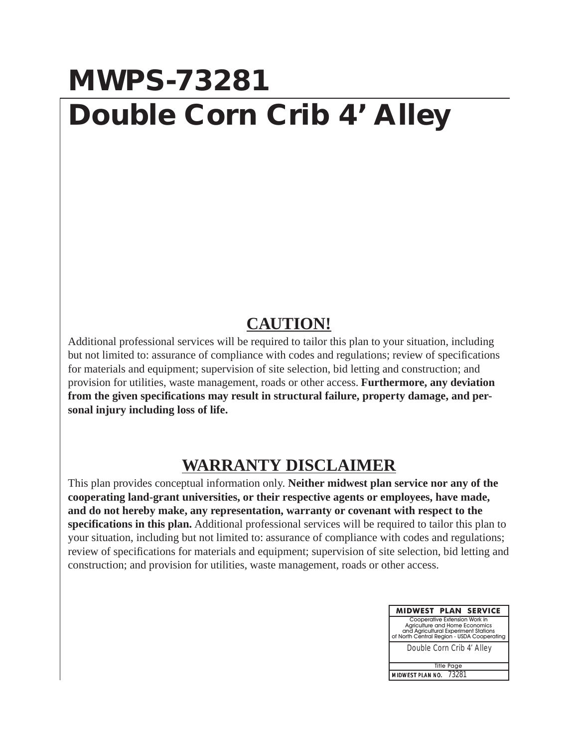## **MWPS-73281 Double Corn Crib 4' Alley**

## **CAUTION!**

Additional professional services will be required to tailor this plan to your situation, including but not limited to: assurance of compliance with codes and regulations; review of specifications for materials and equipment; supervision of site selection, bid letting and construction; and provision for utilities, waste management, roads or other access. **Furthermore, any deviation from the given specifications may result in structural failure, property damage, and personal injury including loss of life.**

## **WARRANTY DISCLAIMER**

This plan provides conceptual information only. **Neither midwest plan service nor any of the cooperating land-grant universities, or their respective agents or employees, have made, and do not hereby make, any representation, warranty or covenant with respect to the specifications in this plan.** Additional professional services will be required to tailor this plan to your situation, including but not limited to: assurance of compliance with codes and regulations; review of specifications for materials and equipment; supervision of site selection, bid letting and construction; and provision for utilities, waste management, roads or other access.

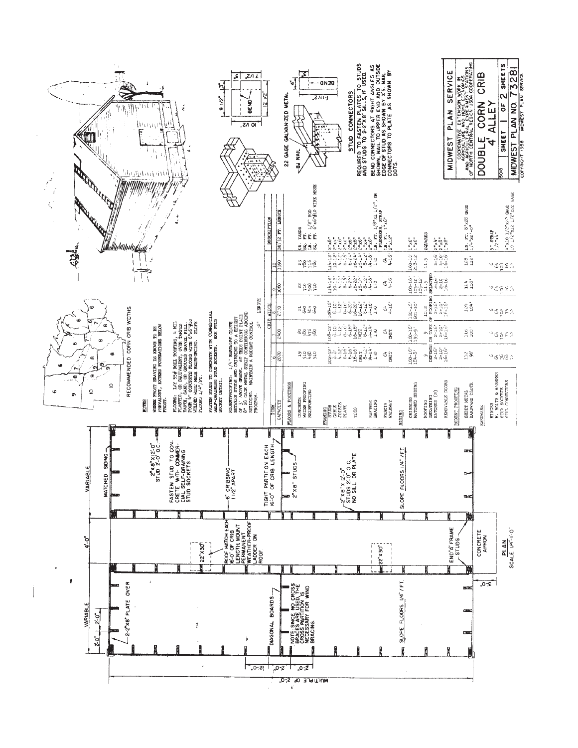